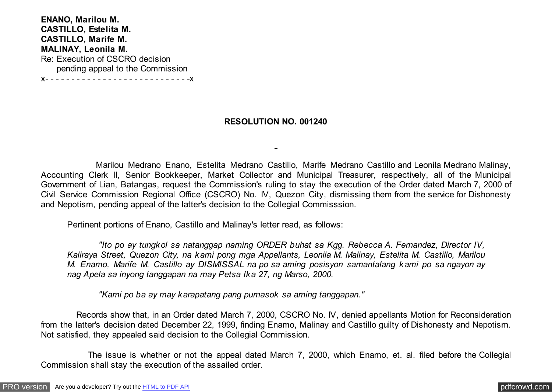**ENANO, Marilou M. CASTILLO, Estelita M. CASTILLO, Marife M. MALINAY, Leonila M.** Re: Execution of CSCRO decision pending appeal to the Commission x- - - - - - - - - - - - - - - - - - - - - - - - - - - -x

## **RESOLUTION NO. 001240**

 Marilou Medrano Enano, Estelita Medrano Castillo, Marife Medrano Castillo and Leonila Medrano Malinay, Accounting Clerk II, Senior Bookkeeper, Market Collector and Municipal Treasurer, respectively, all of the Municipal Government of Lian, Batangas, request the Commission's ruling to stay the execution of the Order dated March 7, 2000 of Civil Service Commission Regional Office (CSCRO) No. IV, Quezon City, dismissing them from the service for Dishonesty and Nepotism, pending appeal of the latter's decision to the Collegial Commisssion.

Pertinent portions of Enano, Castillo and Malinay's letter read, as follows:

 *"Ito po ay tungkol sa natanggap naming ORDER buhat sa Kgg. Rebecca A. Fernandez, Director IV, Kaliraya Street, Quezon City, na kami pong mga Appellants, Leonila M. Malinay, Estelita M. Castillo, Marilou M. Enamo, Marife M. Castillo ay DISMISSAL na po sa aming posisyon samantalang kami po sa ngayon ay nag Apela sa inyong tanggapan na may Petsa Ika 27, ng Marso, 2000.*

 *"Kami po ba ay may karapatang pang pumasok sa aming tanggapan."*

 Records show that, in an Order dated March 7, 2000, CSCRO No. IV, denied appellants Motion for Reconsideration from the latter's decision dated December 22, 1999, finding Enamo, Malinay and Castillo guilty of Dishonesty and Nepotism. Not satisfied, they appealed said decision to the Collegial Commission.

 The issue is whether or not the appeal dated March 7, 2000, which Enamo, et. al. filed before the Collegial Commission shall stay the execution of the assailed order.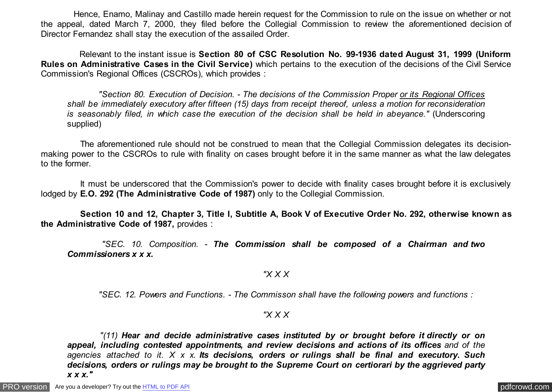Hence, Enamo, Malinay and Castillo made herein request for the Commission to rule on the issue on whether or not the appeal, dated March 7, 2000, they filed before the Collegial Commission to review the aforementioned decision of Director Fernandez shall stay the execution of the assailed Order.

 Relevant to the instant issue is **Section 80 of CSC Resolution No. 99-1936 dated August 31, 1999 (Uniform Rules on Administrative Cases in the Civil Service)** which pertains to the execution of the decisions of the Civil Service Commission's Regional Offices (CSCROs), which provides :

 *"Section 80. Execution of Decision. - The decisions of the Commission Proper or its Regional Offices shall be immediately executory after fifteen (15) days from receipt thereof, unless a motion for reconsideration is seasonably filed, in which case the execution of the decision shall be held in abeyance."* (Underscoring supplied)

 The aforementioned rule should not be construed to mean that the Collegial Commission delegates its decisionmaking power to the CSCROs to rule with finality on cases brought before it in the same manner as what the law delegates to the former.

 It must be underscored that the Commission's power to decide with finality cases brought before it is exclusively lodged by **E.O. 292 (The Administrative Code of 1987)** only to the Collegial Commission.

 **Section 10 and 12, Chapter 3, Title I, Subtitle A, Book V of Executive Order No. 292, otherwise known as the Administrative Code of 1987,** provides :

 *"SEC. 10. Composition. - The Commission shall be composed of a Chairman and two Commissioners x x x.*

## *"X X X*

 *"SEC. 12. Powers and Functions. - The Commisson shall have the following powers and functions :*

## *"X X X*

 *"(11) Hear and decide administrative cases instituted by or brought before it directly or on appeal, including contested appointments, and review decisions and actions of its offices and of the agencies attached to it. X x x. Its decisions, orders or rulings shall be final and executory. Such decisions, orders or rulings may be brought to the Supreme Court on certiorari by the aggrieved party x x x."*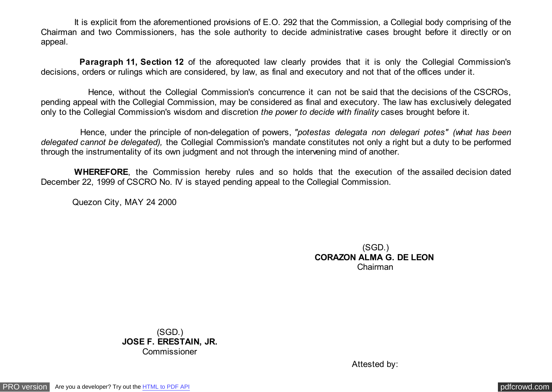It is explicit from the aforementioned provisions of E.O. 292 that the Commission, a Collegial body comprising of the Chairman and two Commissioners, has the sole authority to decide administrative cases brought before it directly or on appeal.

**Paragraph 11, Section 12** of the aforequoted law clearly provides that it is only the Collegial Commission's decisions, orders or rulings which are considered, by law, as final and executory and not that of the offices under it.

 Hence, without the Collegial Commission's concurrence it can not be said that the decisions of the CSCROs, pending appeal with the Collegial Commission, may be considered as final and executory. The law has exclusively delegated only to the Collegial Commission's wisdom and discretion *the power to decide with finality* cases brought before it.

 Hence, under the principle of non-delegation of powers, *"potestas delegata non delegari potes" (what has been delegated cannot be delegated),* the Collegial Commission's mandate constitutes not only a right but a duty to be performed through the instrumentality of its own judgment and not through the intervening mind of another.

 **WHEREFORE**, the Commission hereby rules and so holds that the execution of the assailed decision dated December 22, 1999 of CSCRO No. IV is stayed pending appeal to the Collegial Commission.

Quezon City, MAY 24 2000

(SGD.) **CORAZON ALMA G. DE LEON**  Chairman

(SGD.) **JOSE F. ERESTAIN, JR.** Commissioner